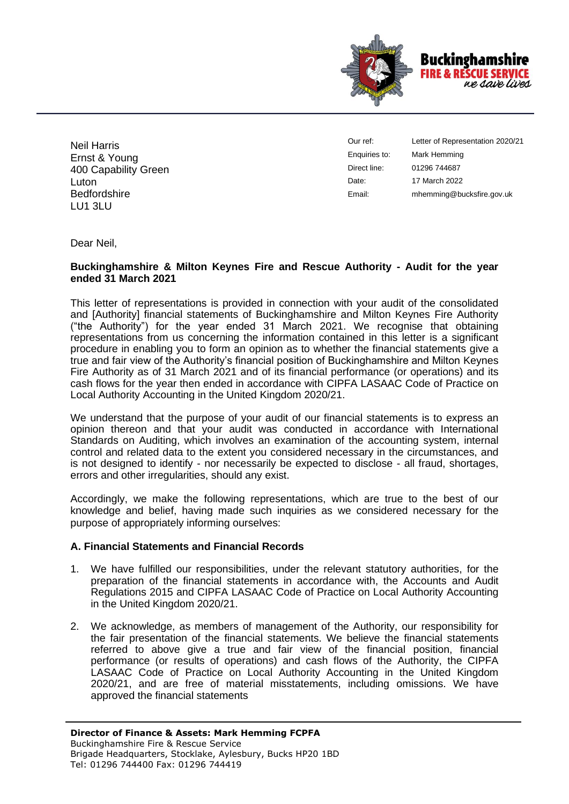

Neil Harris Ernst & Young 400 Capability Green Luton **Bedfordshire** LU1 3LU

Our ref: Enquiries to: Direct line: Date: Email:

Letter of Representation 2020/21 Mark Hemming 01296 744687 17 March 2022 mhemming@bucksfire.gov.uk

Dear Neil,

#### **Buckinghamshire & Milton Keynes Fire and Rescue Authority - Audit for the year ended 31 March 2021**

This letter of representations is provided in connection with your audit of the consolidated and [Authority] financial statements of Buckinghamshire and Milton Keynes Fire Authority ("the Authority") for the year ended 31 March 2021. We recognise that obtaining representations from us concerning the information contained in this letter is a significant procedure in enabling you to form an opinion as to whether the financial statements give a true and fair view of the Authority's financial position of Buckinghamshire and Milton Keynes Fire Authority as of 31 March 2021 and of its financial performance (or operations) and its cash flows for the year then ended in accordance with CIPFA LASAAC Code of Practice on Local Authority Accounting in the United Kingdom 2020/21.

We understand that the purpose of your audit of our financial statements is to express an opinion thereon and that your audit was conducted in accordance with International Standards on Auditing, which involves an examination of the accounting system, internal control and related data to the extent you considered necessary in the circumstances, and is not designed to identify - nor necessarily be expected to disclose - all fraud, shortages, errors and other irregularities, should any exist.

Accordingly, we make the following representations, which are true to the best of our knowledge and belief, having made such inquiries as we considered necessary for the purpose of appropriately informing ourselves:

## **A. Financial Statements and Financial Records**

- 1. We have fulfilled our responsibilities, under the relevant statutory authorities, for the preparation of the financial statements in accordance with, the Accounts and Audit Regulations 2015 and CIPFA LASAAC Code of Practice on Local Authority Accounting in the United Kingdom 2020/21.
- 2. We acknowledge, as members of management of the Authority, our responsibility for the fair presentation of the financial statements. We believe the financial statements referred to above give a true and fair view of the financial position, financial performance (or results of operations) and cash flows of the Authority, the CIPFA LASAAC Code of Practice on Local Authority Accounting in the United Kingdom 2020/21, and are free of material misstatements, including omissions. We have approved the financial statements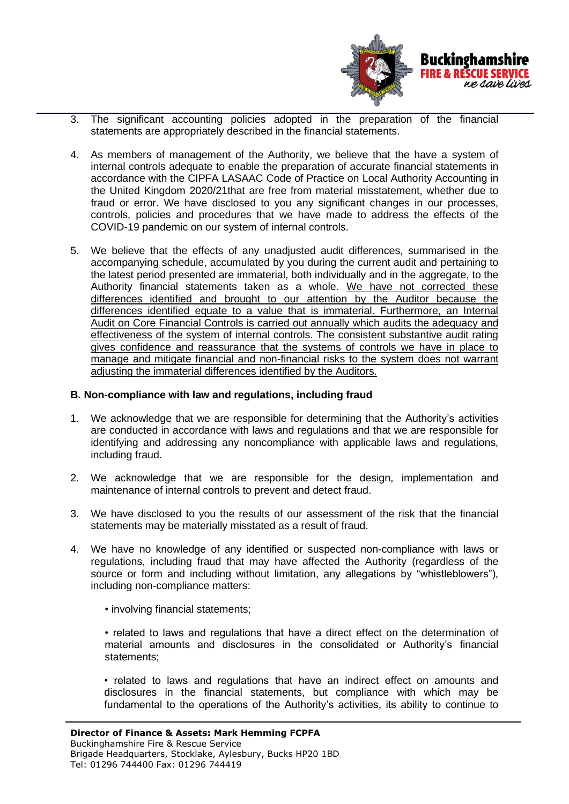

- 3. The significant accounting policies adopted in the preparation of the financial statements are appropriately described in the financial statements.
- 4. As members of management of the Authority, we believe that the have a system of internal controls adequate to enable the preparation of accurate financial statements in accordance with the CIPFA LASAAC Code of Practice on Local Authority Accounting in the United Kingdom 2020/21that are free from material misstatement, whether due to fraud or error. We have disclosed to you any significant changes in our processes, controls, policies and procedures that we have made to address the effects of the COVID-19 pandemic on our system of internal controls.
- 5. We believe that the effects of any unadjusted audit differences, summarised in the accompanying schedule, accumulated by you during the current audit and pertaining to the latest period presented are immaterial, both individually and in the aggregate, to the Authority financial statements taken as a whole. We have not corrected these differences identified and brought to our attention by the Auditor because the differences identified equate to a value that is immaterial. Furthermore, an Internal Audit on Core Financial Controls is carried out annually which audits the adequacy and effectiveness of the system of internal controls. The consistent substantive audit rating gives confidence and reassurance that the systems of controls we have in place to manage and mitigate financial and non-financial risks to the system does not warrant adjusting the immaterial differences identified by the Auditors.

#### **B. Non-compliance with law and regulations, including fraud**

- 1. We acknowledge that we are responsible for determining that the Authority's activities are conducted in accordance with laws and regulations and that we are responsible for identifying and addressing any noncompliance with applicable laws and regulations, including fraud.
- 2. We acknowledge that we are responsible for the design, implementation and maintenance of internal controls to prevent and detect fraud.
- 3. We have disclosed to you the results of our assessment of the risk that the financial statements may be materially misstated as a result of fraud.
- 4. We have no knowledge of any identified or suspected non-compliance with laws or regulations, including fraud that may have affected the Authority (regardless of the source or form and including without limitation, any allegations by "whistleblowers"), including non-compliance matters:
	- involving financial statements;
	- related to laws and regulations that have a direct effect on the determination of material amounts and disclosures in the consolidated or Authority's financial statements;
	- related to laws and regulations that have an indirect effect on amounts and disclosures in the financial statements, but compliance with which may be fundamental to the operations of the Authority's activities, its ability to continue to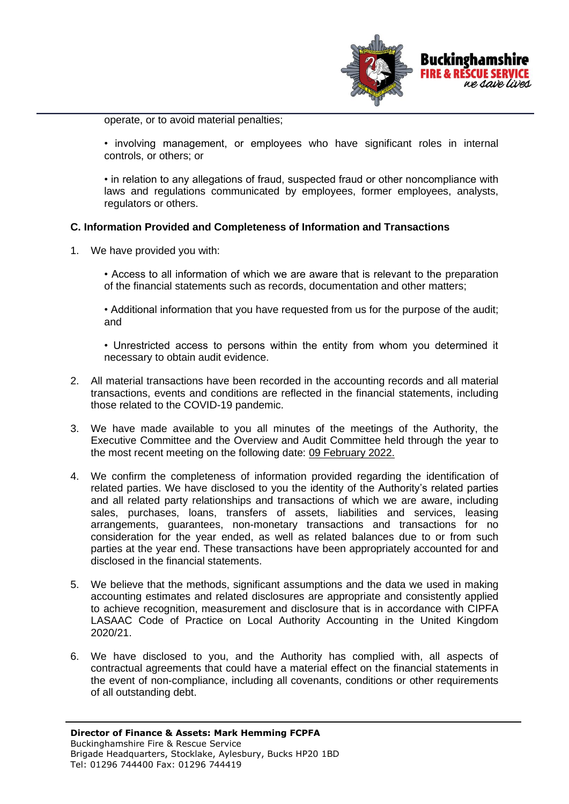

operate, or to avoid material penalties;

• involving management, or employees who have significant roles in internal controls, or others; or

• in relation to any allegations of fraud, suspected fraud or other noncompliance with laws and regulations communicated by employees, former employees, analysts, regulators or others.

## **C. Information Provided and Completeness of Information and Transactions**

1. We have provided you with:

• Access to all information of which we are aware that is relevant to the preparation of the financial statements such as records, documentation and other matters;

• Additional information that you have requested from us for the purpose of the audit; and

• Unrestricted access to persons within the entity from whom you determined it necessary to obtain audit evidence.

- 2. All material transactions have been recorded in the accounting records and all material transactions, events and conditions are reflected in the financial statements, including those related to the COVID-19 pandemic.
- 3. We have made available to you all minutes of the meetings of the Authority, the Executive Committee and the Overview and Audit Committee held through the year to the most recent meeting on the following date: 09 February 2022.
- 4. We confirm the completeness of information provided regarding the identification of related parties. We have disclosed to you the identity of the Authority's related parties and all related party relationships and transactions of which we are aware, including sales, purchases, loans, transfers of assets, liabilities and services, leasing arrangements, guarantees, non-monetary transactions and transactions for no consideration for the year ended, as well as related balances due to or from such parties at the year end. These transactions have been appropriately accounted for and disclosed in the financial statements.
- 5. We believe that the methods, significant assumptions and the data we used in making accounting estimates and related disclosures are appropriate and consistently applied to achieve recognition, measurement and disclosure that is in accordance with CIPFA LASAAC Code of Practice on Local Authority Accounting in the United Kingdom 2020/21.
- 6. We have disclosed to you, and the Authority has complied with, all aspects of contractual agreements that could have a material effect on the financial statements in the event of non-compliance, including all covenants, conditions or other requirements of all outstanding debt.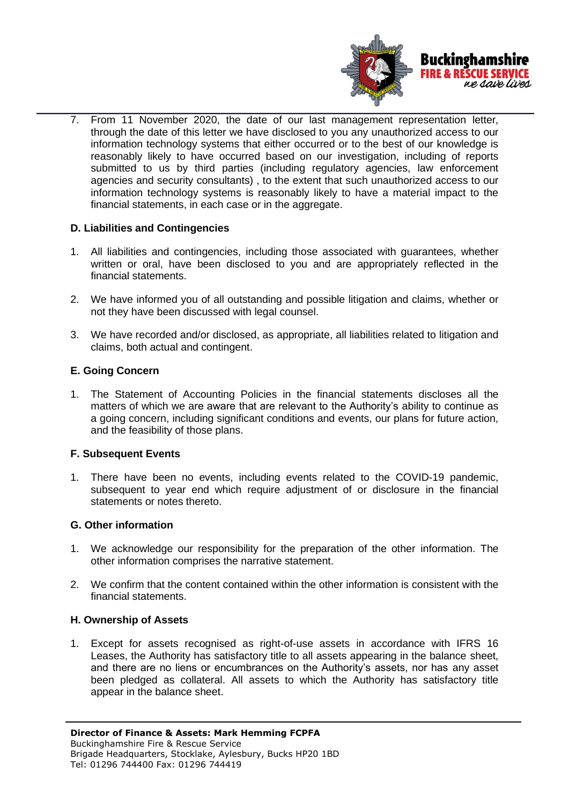

7. From 11 November 2020, the date of our last management representation letter, through the date of this letter we have disclosed to you any unauthorized access to our information technology systems that either occurred or to the best of our knowledge is reasonably likely to have occurred based on our investigation, including of reports submitted to us by third parties (including regulatory agencies, law enforcement agencies and security consultants) , to the extent that such unauthorized access to our information technology systems is reasonably likely to have a material impact to the financial statements, in each case or in the aggregate.

# **D. Liabilities and Contingencies**

- 1. All liabilities and contingencies, including those associated with guarantees, whether written or oral, have been disclosed to you and are appropriately reflected in the financial statements.
- 2. We have informed you of all outstanding and possible litigation and claims, whether or not they have been discussed with legal counsel.
- 3. We have recorded and/or disclosed, as appropriate, all liabilities related to litigation and claims, both actual and contingent.

## **E. Going Concern**

1. The Statement of Accounting Policies in the financial statements discloses all the matters of which we are aware that are relevant to the Authority's ability to continue as a going concern, including significant conditions and events, our plans for future action, and the feasibility of those plans.

## **F. Subsequent Events**

1. There have been no events, including events related to the COVID-19 pandemic, subsequent to year end which require adjustment of or disclosure in the financial statements or notes thereto.

## **G. Other information**

- 1. We acknowledge our responsibility for the preparation of the other information. The other information comprises the narrative statement.
- 2. We confirm that the content contained within the other information is consistent with the financial statements.

## **H. Ownership of Assets**

1. Except for assets recognised as right-of-use assets in accordance with IFRS 16 Leases, the Authority has satisfactory title to all assets appearing in the balance sheet, and there are no liens or encumbrances on the Authority's assets, nor has any asset been pledged as collateral. All assets to which the Authority has satisfactory title appear in the balance sheet.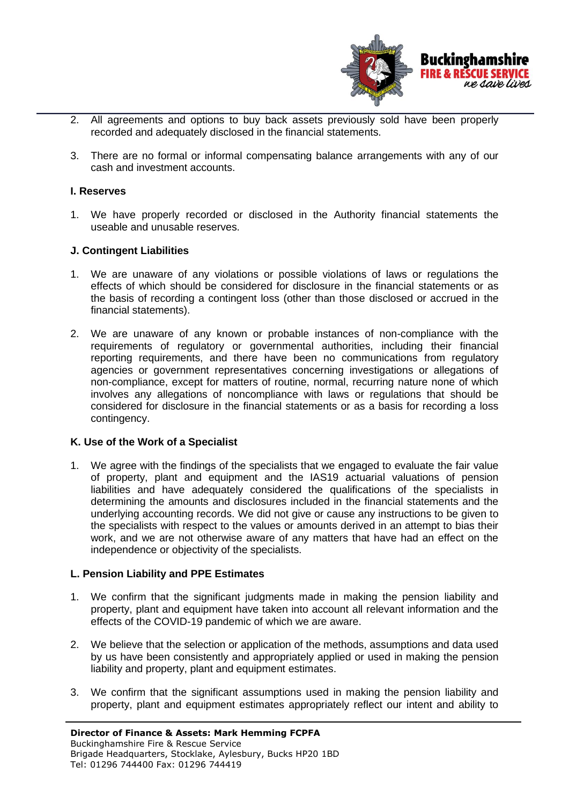

- 2. All agreements and options to buy back assets previously sold have been properly recorded and adequately disclosed in the financial statements.
- 3. There are no formal or informal compensating balance arrangements with any of our cash and investment accounts.

#### **I. Reserves**

1. We have properly recorded or disclosed in the Authority financial statements the useable and unusable reserves.

#### **J. Contingent Liabilities**

- 1. We are unaware of any violations or possible violations of laws or regulations the effects of which should be considered for disclosure in the financial statements or as the basis of recording a contingent loss (other than those disclosed or accrued in the financial statements).
- 2. We are unaware of any known or probable instances of non-compliance with the requirements of regulatory or governmental authorities, including their financial reporting requirements, and there have been no communications from regulatory agencies or government representatives concerning investigations or allegations of non-compliance, except for matters of routine, normal, recurring nature none of which involves any allegations of noncompliance with laws or regulations that should be considered for disclosure in the financial statements or as a basis for recording a loss contingency.

## **K. Use of the Work of a Specialist**

1. We agree with the findings of the specialists that we engaged to evaluate the fair value of property, plant and equipment and the IAS19 actuarial valuations of pension liabilities and have adequately considered the qualifications of the specialists in determining the amounts and disclosures included in the financial statements and the underlying accounting records. We did not give or cause any instructions to be given to the specialists with respect to the values or amounts derived in an attempt to bias their work, and we are not otherwise aware of any matters that have had an effect on the independence or objectivity of the specialists.

#### **L. Pension Liability and PPE Estimates**

- 1. We confirm that the significant judgments made in making the pension liability and property, plant and equipment have taken into account all relevant information and the effects of the COVID-19 pandemic of which we are aware.
- 2. We believe that the selection or application of the methods, assumptions and data used by us have been consistently and appropriately applied or used in making the pension liability and property, plant and equipment estimates.
- 3. We confirm that the significant assumptions used in making the pension liability and property, plant and equipment estimates appropriately reflect our intent and ability to